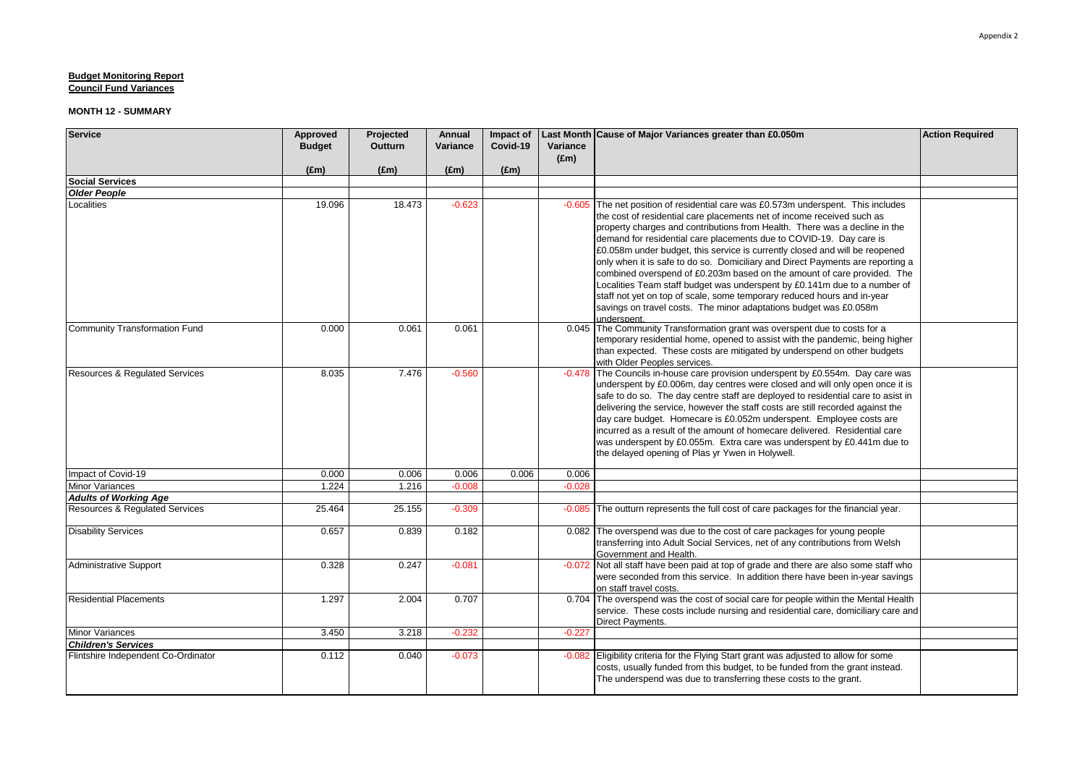| <b>Service</b>                            | Approved      | Projected     | Annual        | Impact of     |                           | Last Month Cause of Major Variances greater than £0.050m                                                                                                                                                                                                                                                                                                                                                                                                                                                                                                                                                                                                                                                                                                                                                 | <b>Action Required</b> |
|-------------------------------------------|---------------|---------------|---------------|---------------|---------------------------|----------------------------------------------------------------------------------------------------------------------------------------------------------------------------------------------------------------------------------------------------------------------------------------------------------------------------------------------------------------------------------------------------------------------------------------------------------------------------------------------------------------------------------------------------------------------------------------------------------------------------------------------------------------------------------------------------------------------------------------------------------------------------------------------------------|------------------------|
|                                           | <b>Budget</b> | Outturn       | Variance      | Covid-19      | Variance<br>$(\text{Em})$ |                                                                                                                                                                                                                                                                                                                                                                                                                                                                                                                                                                                                                                                                                                                                                                                                          |                        |
|                                           | $(\text{Em})$ | $(\text{Em})$ | $(\text{Em})$ | $(\text{Em})$ |                           |                                                                                                                                                                                                                                                                                                                                                                                                                                                                                                                                                                                                                                                                                                                                                                                                          |                        |
| <b>Social Services</b>                    |               |               |               |               |                           |                                                                                                                                                                                                                                                                                                                                                                                                                                                                                                                                                                                                                                                                                                                                                                                                          |                        |
| <b>Older People</b>                       |               |               |               |               |                           |                                                                                                                                                                                                                                                                                                                                                                                                                                                                                                                                                                                                                                                                                                                                                                                                          |                        |
| Localities                                | 19.096        | 18.473        | $-0.623$      |               |                           | -0.605 The net position of residential care was £0.573m underspent. This includes<br>the cost of residential care placements net of income received such as<br>property charges and contributions from Health. There was a decline in the<br>demand for residential care placements due to COVID-19. Day care is<br>£0.058m under budget, this service is currently closed and will be reopened<br>only when it is safe to do so. Domiciliary and Direct Payments are reporting a<br>combined overspend of £0.203m based on the amount of care provided. The<br>Localities Team staff budget was underspent by £0.141m due to a number of<br>staff not yet on top of scale, some temporary reduced hours and in-year<br>savings on travel costs. The minor adaptations budget was £0.058m<br>underspent. |                        |
| Community Transformation Fund             | 0.000         | 0.061         | 0.061         |               |                           | 0.045 The Community Transformation grant was overspent due to costs for a<br>temporary residential home, opened to assist with the pandemic, being higher<br>than expected. These costs are mitigated by underspend on other budgets<br>with Older Peoples services.                                                                                                                                                                                                                                                                                                                                                                                                                                                                                                                                     |                        |
| <b>Resources &amp; Requlated Services</b> | 8.035         | 7.476         | $-0.560$      |               | $-0.478$                  | The Councils in-house care provision underspent by £0.554m. Day care was<br>underspent by £0.006m, day centres were closed and will only open once it is<br>safe to do so. The day centre staff are deployed to residential care to asist in<br>delivering the service, however the staff costs are still recorded against the<br>day care budget. Homecare is £0.052m underspent. Employee costs are<br>incurred as a result of the amount of homecare delivered. Residential care<br>was underspent by £0.055m. Extra care was underspent by £0.441m due to<br>the delayed opening of Plas yr Ywen in Holywell.                                                                                                                                                                                        |                        |
| Impact of Covid-19                        | 0.000         | 0.006         | 0.006         | 0.006         | 0.006                     |                                                                                                                                                                                                                                                                                                                                                                                                                                                                                                                                                                                                                                                                                                                                                                                                          |                        |
| <b>Minor Variances</b>                    | 1.224         | 1.216         | $-0.008$      |               | $-0.028$                  |                                                                                                                                                                                                                                                                                                                                                                                                                                                                                                                                                                                                                                                                                                                                                                                                          |                        |
| <b>Adults of Working Age</b>              |               |               |               |               |                           |                                                                                                                                                                                                                                                                                                                                                                                                                                                                                                                                                                                                                                                                                                                                                                                                          |                        |
| <b>Resources &amp; Regulated Services</b> | 25.464        | 25.155        | $-0.309$      |               | $-0.085$                  | The outturn represents the full cost of care packages for the financial year.                                                                                                                                                                                                                                                                                                                                                                                                                                                                                                                                                                                                                                                                                                                            |                        |
| <b>Disability Services</b>                | 0.657         | 0.839         | 0.182         |               |                           | 0.082 The overspend was due to the cost of care packages for young people<br>transferring into Adult Social Services, net of any contributions from Welsh<br>Government and Health.                                                                                                                                                                                                                                                                                                                                                                                                                                                                                                                                                                                                                      |                        |
| <b>Administrative Support</b>             | 0.328         | 0.247         | $-0.081$      |               |                           | -0.072 Not all staff have been paid at top of grade and there are also some staff who<br>were seconded from this service. In addition there have been in-year savings<br>on staff travel costs.                                                                                                                                                                                                                                                                                                                                                                                                                                                                                                                                                                                                          |                        |
| <b>Residential Placements</b>             | 1.297         | 2.004         | 0.707         |               |                           | 0.704 The overspend was the cost of social care for people within the Mental Health<br>service. These costs include nursing and residential care, domiciliary care and<br>Direct Payments.                                                                                                                                                                                                                                                                                                                                                                                                                                                                                                                                                                                                               |                        |
| <b>Minor Variances</b>                    | 3.450         | 3.218         | $-0.232$      |               | $-0.227$                  |                                                                                                                                                                                                                                                                                                                                                                                                                                                                                                                                                                                                                                                                                                                                                                                                          |                        |
| <b>Children's Services</b>                |               |               |               |               |                           |                                                                                                                                                                                                                                                                                                                                                                                                                                                                                                                                                                                                                                                                                                                                                                                                          |                        |
| Flintshire Independent Co-Ordinator       | 0.112         | 0.040         | $-0.073$      |               |                           | -0.082 Eligibility criteria for the Flying Start grant was adjusted to allow for some<br>costs, usually funded from this budget, to be funded from the grant instead.<br>The underspend was due to transferring these costs to the grant.                                                                                                                                                                                                                                                                                                                                                                                                                                                                                                                                                                |                        |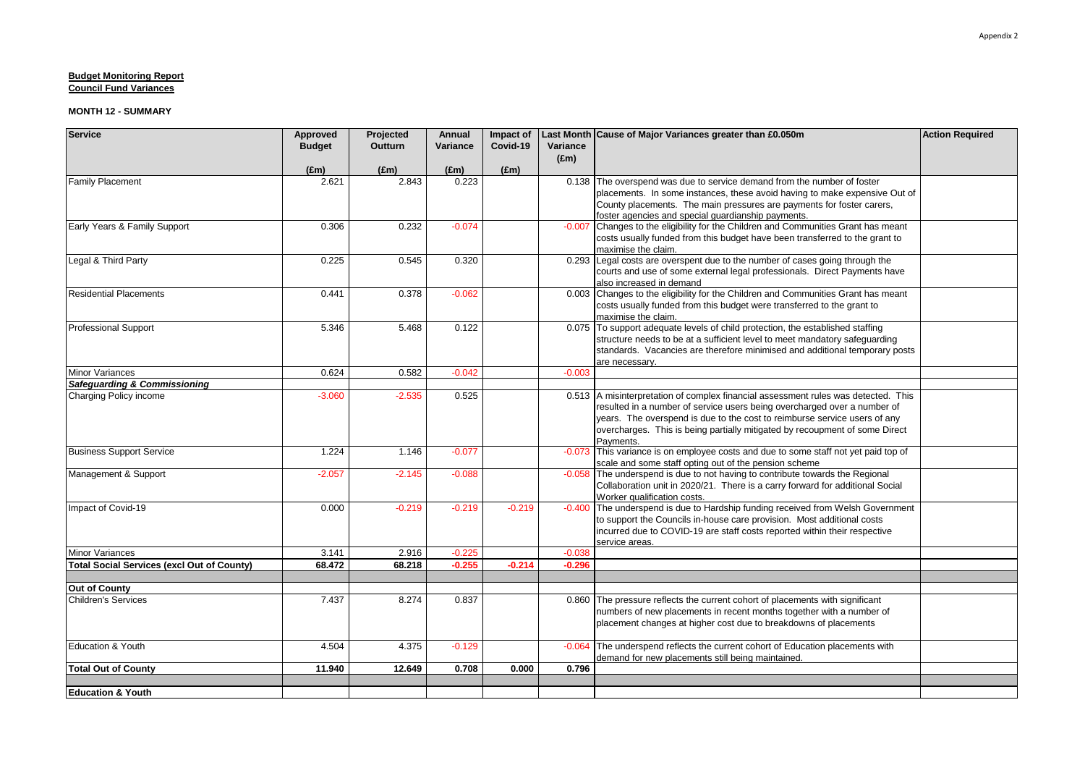| <b>Service</b>                                                    | Approved      | Projected      | <b>Annual</b> | Impact of     |               | Last Month Cause of Major Variances greater than £0.050m                                                                                                  | <b>Action Required</b> |
|-------------------------------------------------------------------|---------------|----------------|---------------|---------------|---------------|-----------------------------------------------------------------------------------------------------------------------------------------------------------|------------------------|
|                                                                   | <b>Budget</b> | <b>Outturn</b> | Variance      | Covid-19      | Variance      |                                                                                                                                                           |                        |
|                                                                   | $(\text{Em})$ | $(\text{Em})$  | $(\text{Em})$ | $(\text{Em})$ | $(\text{Em})$ |                                                                                                                                                           |                        |
| <b>Family Placement</b>                                           | 2.621         | 2.843          | 0.223         |               |               | 0.138 The overspend was due to service demand from the number of foster                                                                                   |                        |
|                                                                   |               |                |               |               |               | placements. In some instances, these avoid having to make expensive Out of                                                                                |                        |
|                                                                   |               |                |               |               |               | County placements. The main pressures are payments for foster carers,                                                                                     |                        |
|                                                                   |               |                |               |               |               | foster agencies and special guardianship payments.                                                                                                        |                        |
| Early Years & Family Support                                      | 0.306         | 0.232          | $-0.074$      |               |               | -0.007 Changes to the eligibility for the Children and Communities Grant has meant                                                                        |                        |
|                                                                   |               |                |               |               |               | costs usually funded from this budget have been transferred to the grant to                                                                               |                        |
| Legal & Third Party                                               | 0.225         | 0.545          | 0.320         |               |               | maximise the claim.<br>0.293 Legal costs are overspent due to the number of cases going through the                                                       |                        |
|                                                                   |               |                |               |               |               | courts and use of some external legal professionals. Direct Payments have                                                                                 |                        |
|                                                                   |               |                |               |               |               | also increased in demand                                                                                                                                  |                        |
| <b>Residential Placements</b>                                     | 0.441         | 0.378          | $-0.062$      |               |               | 0.003 Changes to the eligibility for the Children and Communities Grant has meant                                                                         |                        |
|                                                                   |               |                |               |               |               | costs usually funded from this budget were transferred to the grant to                                                                                    |                        |
|                                                                   |               |                |               |               |               | maximise the claim.                                                                                                                                       |                        |
| <b>Professional Support</b>                                       | 5.346         | 5.468          | 0.122         |               |               | 0.075 To support adequate levels of child protection, the established staffing                                                                            |                        |
|                                                                   |               |                |               |               |               | structure needs to be at a sufficient level to meet mandatory safeguarding                                                                                |                        |
|                                                                   |               |                |               |               |               | standards. Vacancies are therefore minimised and additional temporary posts                                                                               |                        |
|                                                                   |               |                |               |               |               | are necessarv.                                                                                                                                            |                        |
| <b>Minor Variances</b><br><b>Safequarding &amp; Commissioning</b> | 0.624         | 0.582          | $-0.042$      |               | $-0.003$      |                                                                                                                                                           |                        |
| Charging Policy income                                            | $-3.060$      | $-2.535$       | 0.525         |               |               | 0.513 A misinterpretation of complex financial assessment rules was detected. This                                                                        |                        |
|                                                                   |               |                |               |               |               | resulted in a number of service users being overcharged over a number of                                                                                  |                        |
|                                                                   |               |                |               |               |               | years. The overspend is due to the cost to reimburse service users of any                                                                                 |                        |
|                                                                   |               |                |               |               |               | overcharges. This is being partially mitigated by recoupment of some Direct                                                                               |                        |
|                                                                   |               |                |               |               |               | Payments.                                                                                                                                                 |                        |
| <b>Business Support Service</b>                                   | 1.224         | 1.146          | $-0.077$      |               | $-0.073$      | This variance is on employee costs and due to some staff not yet paid top of                                                                              |                        |
|                                                                   |               |                |               |               |               | scale and some staff opting out of the pension scheme                                                                                                     |                        |
| Management & Support                                              | $-2.057$      | $-2.145$       | $-0.088$      |               |               | -0.058 The underspend is due to not having to contribute towards the Regional                                                                             |                        |
|                                                                   |               |                |               |               |               | Collaboration unit in 2020/21. There is a carry forward for additional Social                                                                             |                        |
|                                                                   |               |                |               |               |               | Worker qualification costs.                                                                                                                               |                        |
| Impact of Covid-19                                                | 0.000         | $-0.219$       | $-0.219$      | $-0.219$      |               | -0.400 The underspend is due to Hardship funding received from Welsh Government<br>to support the Councils in-house care provision. Most additional costs |                        |
|                                                                   |               |                |               |               |               | incurred due to COVID-19 are staff costs reported within their respective                                                                                 |                        |
|                                                                   |               |                |               |               |               | service areas.                                                                                                                                            |                        |
| <b>Minor Variances</b>                                            | 3.141         | 2.916          | $-0.225$      |               | $-0.038$      |                                                                                                                                                           |                        |
| <b>Total Social Services (excl Out of County)</b>                 | 68.472        | 68.218         | $-0.255$      | $-0.214$      | $-0.296$      |                                                                                                                                                           |                        |
|                                                                   |               |                |               |               |               |                                                                                                                                                           |                        |
| Out of County                                                     |               |                |               |               |               |                                                                                                                                                           |                        |
| Children's Services                                               | 7.437         | 8.274          | 0.837         |               |               | 0.860 The pressure reflects the current cohort of placements with significant                                                                             |                        |
|                                                                   |               |                |               |               |               | numbers of new placements in recent months together with a number of                                                                                      |                        |
|                                                                   |               |                |               |               |               | placement changes at higher cost due to breakdowns of placements                                                                                          |                        |
|                                                                   |               |                |               |               |               | The underspend reflects the current cohort of Education placements with                                                                                   |                        |
| Education & Youth                                                 | 4.504         | 4.375          | $-0.129$      |               | $-0.064$      | demand for new placements still being maintained.                                                                                                         |                        |
| <b>Total Out of County</b>                                        | 11.940        | 12.649         | 0.708         | 0.000         | 0.796         |                                                                                                                                                           |                        |
|                                                                   |               |                |               |               |               |                                                                                                                                                           |                        |
| <b>Education &amp; Youth</b>                                      |               |                |               |               |               |                                                                                                                                                           |                        |
|                                                                   |               |                |               |               |               |                                                                                                                                                           |                        |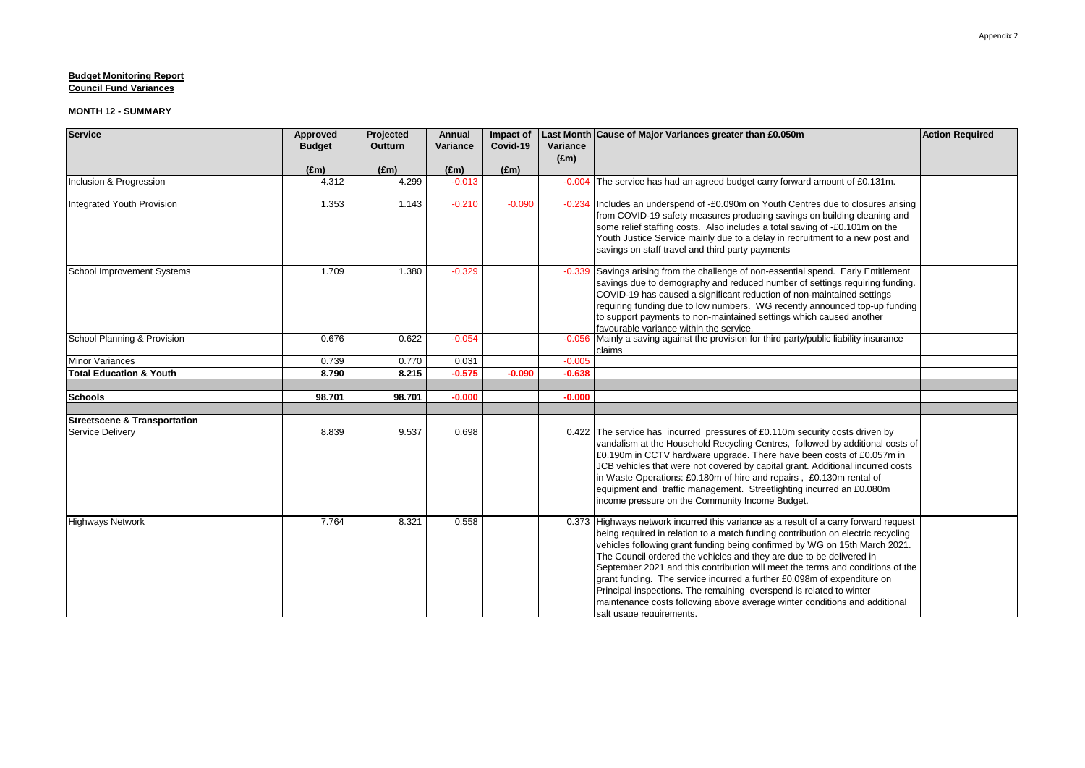| <b>Service</b>                          | Approved      | Projected     | <b>Annual</b> | Impact of     |               | Last Month Cause of Major Variances greater than £0.050m                                                                                                                                                                                                                                                                                                                                                                                                                                                                                                                                                                                                                     | <b>Action Required</b> |
|-----------------------------------------|---------------|---------------|---------------|---------------|---------------|------------------------------------------------------------------------------------------------------------------------------------------------------------------------------------------------------------------------------------------------------------------------------------------------------------------------------------------------------------------------------------------------------------------------------------------------------------------------------------------------------------------------------------------------------------------------------------------------------------------------------------------------------------------------------|------------------------|
|                                         | <b>Budget</b> | Outturn       | Variance      | Covid-19      | Variance      |                                                                                                                                                                                                                                                                                                                                                                                                                                                                                                                                                                                                                                                                              |                        |
|                                         |               |               |               |               | $(\text{Em})$ |                                                                                                                                                                                                                                                                                                                                                                                                                                                                                                                                                                                                                                                                              |                        |
|                                         | (f.m)         | $(\text{Em})$ | $(\text{Em})$ | $(\text{Em})$ |               |                                                                                                                                                                                                                                                                                                                                                                                                                                                                                                                                                                                                                                                                              |                        |
| Inclusion & Progression                 | 4.312         | 4.299         | $-0.013$      |               | $-0.004$      | The service has had an agreed budget carry forward amount of £0.131m.                                                                                                                                                                                                                                                                                                                                                                                                                                                                                                                                                                                                        |                        |
| Integrated Youth Provision              | 1.353         | 1.143         | $-0.210$      | $-0.090$      | $-0.234$      | Includes an underspend of -£0.090m on Youth Centres due to closures arising<br>from COVID-19 safety measures producing savings on building cleaning and<br>some relief staffing costs. Also includes a total saving of -£0.101m on the<br>Youth Justice Service mainly due to a delay in recruitment to a new post and<br>savings on staff travel and third party payments                                                                                                                                                                                                                                                                                                   |                        |
| School Improvement Systems              | 1.709         | 1.380         | $-0.329$      |               | $-0.339$      | Savings arising from the challenge of non-essential spend. Early Entitlement<br>savings due to demography and reduced number of settings requiring funding.<br>COVID-19 has caused a significant reduction of non-maintained settings<br>requiring funding due to low numbers. WG recently announced top-up funding<br>to support payments to non-maintained settings which caused another<br>favourable variance within the service.                                                                                                                                                                                                                                        |                        |
| School Planning & Provision             | 0.676         | 0.622         | $-0.054$      |               | $-0.056$      | Mainly a saving against the provision for third party/public liability insurance<br>claims                                                                                                                                                                                                                                                                                                                                                                                                                                                                                                                                                                                   |                        |
| <b>Minor Variances</b>                  | 0.739         | 0.770         | 0.031         |               | $-0.005$      |                                                                                                                                                                                                                                                                                                                                                                                                                                                                                                                                                                                                                                                                              |                        |
| <b>Total Education &amp; Youth</b>      | 8.790         | 8.215         | $-0.575$      | $-0.090$      | $-0.638$      |                                                                                                                                                                                                                                                                                                                                                                                                                                                                                                                                                                                                                                                                              |                        |
|                                         |               |               |               |               |               |                                                                                                                                                                                                                                                                                                                                                                                                                                                                                                                                                                                                                                                                              |                        |
| <b>Schools</b>                          | 98.701        | 98.701        | $-0.000$      |               | $-0.000$      |                                                                                                                                                                                                                                                                                                                                                                                                                                                                                                                                                                                                                                                                              |                        |
|                                         |               |               |               |               |               |                                                                                                                                                                                                                                                                                                                                                                                                                                                                                                                                                                                                                                                                              |                        |
| <b>Streetscene &amp; Transportation</b> | 8.839         | 9.537         | 0.698         |               |               |                                                                                                                                                                                                                                                                                                                                                                                                                                                                                                                                                                                                                                                                              |                        |
| Service Delivery                        |               |               |               |               | 0.422         | The service has incurred pressures of £0.110m security costs driven by<br>vandalism at the Household Recycling Centres, followed by additional costs of<br>£0.190m in CCTV hardware upgrade. There have been costs of £0.057m in<br>JCB vehicles that were not covered by capital grant. Additional incurred costs<br>in Waste Operations: £0.180m of hire and repairs, £0.130m rental of<br>equipment and traffic management. Streetlighting incurred an £0.080m<br>income pressure on the Community Income Budget.                                                                                                                                                         |                        |
| <b>Highways Network</b>                 | 7.764         | 8.321         | 0.558         |               |               | 0.373 Highways network incurred this variance as a result of a carry forward request<br>being required in relation to a match funding contribution on electric recycling<br>vehicles following grant funding being confirmed by WG on 15th March 2021.<br>The Council ordered the vehicles and they are due to be delivered in<br>September 2021 and this contribution will meet the terms and conditions of the<br>grant funding. The service incurred a further £0.098m of expenditure on<br>Principal inspections. The remaining overspend is related to winter<br>maintenance costs following above average winter conditions and additional<br>salt usage requirements. |                        |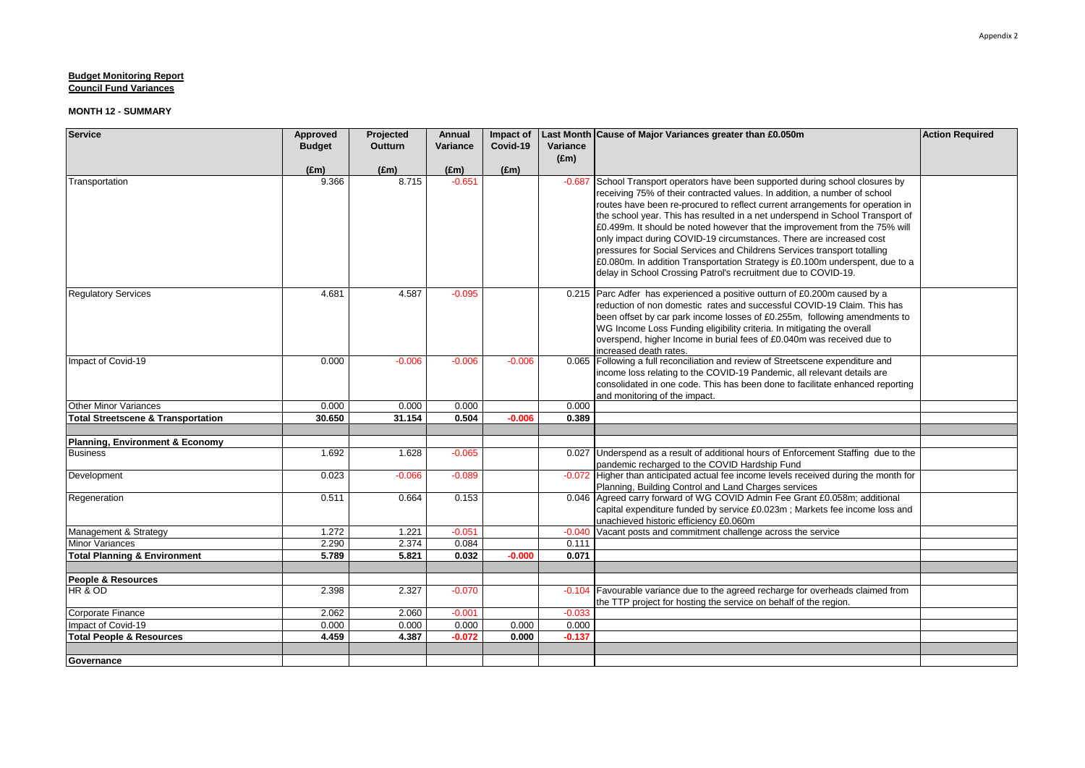| <b>Service</b>                                | Approved      | Projected      | Annual        | Impact of     |               | Last Month Cause of Major Variances greater than £0.050m                                                                                                    | <b>Action Required</b> |
|-----------------------------------------------|---------------|----------------|---------------|---------------|---------------|-------------------------------------------------------------------------------------------------------------------------------------------------------------|------------------------|
|                                               | <b>Budget</b> | <b>Outturn</b> | Variance      | Covid-19      | Variance      |                                                                                                                                                             |                        |
|                                               |               |                |               |               | $(\text{Em})$ |                                                                                                                                                             |                        |
|                                               | $(\text{Em})$ | $(\text{Em})$  | $(\text{Em})$ | $(\text{Em})$ |               |                                                                                                                                                             |                        |
| Transportation                                | 9.366         | 8.715          | $-0.651$      |               |               | -0.687 School Transport operators have been supported during school closures by                                                                             |                        |
|                                               |               |                |               |               |               | receiving 75% of their contracted values. In addition, a number of school                                                                                   |                        |
|                                               |               |                |               |               |               | routes have been re-procured to reflect current arrangements for operation in                                                                               |                        |
|                                               |               |                |               |               |               | the school year. This has resulted in a net underspend in School Transport of<br>£0.499m. It should be noted however that the improvement from the 75% will |                        |
|                                               |               |                |               |               |               | only impact during COVID-19 circumstances. There are increased cost                                                                                         |                        |
|                                               |               |                |               |               |               | pressures for Social Services and Childrens Services transport totalling                                                                                    |                        |
|                                               |               |                |               |               |               | £0.080m. In addition Transportation Strategy is £0.100m underspent, due to a                                                                                |                        |
|                                               |               |                |               |               |               | delay in School Crossing Patrol's recruitment due to COVID-19.                                                                                              |                        |
|                                               |               |                |               |               |               |                                                                                                                                                             |                        |
| <b>Regulatory Services</b>                    | 4.681         | 4.587          | $-0.095$      |               |               | 0.215 Parc Adfer has experienced a positive outturn of £0.200m caused by a                                                                                  |                        |
|                                               |               |                |               |               |               | reduction of non domestic rates and successful COVID-19 Claim. This has                                                                                     |                        |
|                                               |               |                |               |               |               | been offset by car park income losses of £0.255m, following amendments to                                                                                   |                        |
|                                               |               |                |               |               |               | WG Income Loss Funding eligibility criteria. In mitigating the overall<br>overspend, higher Income in burial fees of £0.040m was received due to            |                        |
|                                               |               |                |               |               |               | increased death rates.                                                                                                                                      |                        |
| Impact of Covid-19                            | 0.000         | $-0.006$       | $-0.006$      | $-0.006$      |               | 0.065 Following a full reconciliation and review of Streetscene expenditure and                                                                             |                        |
|                                               |               |                |               |               |               | income loss relating to the COVID-19 Pandemic, all relevant details are                                                                                     |                        |
|                                               |               |                |               |               |               | consolidated in one code. This has been done to facilitate enhanced reporting                                                                               |                        |
|                                               |               |                |               |               |               | and monitoring of the impact.                                                                                                                               |                        |
| Other Minor Variances                         | 0.000         | 0.000          | 0.000         |               | 0.000         |                                                                                                                                                             |                        |
| <b>Total Streetscene &amp; Transportation</b> | 30.650        | 31.154         | 0.504         | $-0.006$      | 0.389         |                                                                                                                                                             |                        |
| Planning, Environment & Economy               |               |                |               |               |               |                                                                                                                                                             |                        |
| <b>Business</b>                               | 1.692         | 1.628          | $-0.065$      |               |               | 0.027 Underspend as a result of additional hours of Enforcement Staffing due to the                                                                         |                        |
|                                               |               |                |               |               |               | pandemic recharged to the COVID Hardship Fund                                                                                                               |                        |
| Development                                   | 0.023         | $-0.066$       | $-0.089$      |               |               | -0.072 Higher than anticipated actual fee income levels received during the month for                                                                       |                        |
|                                               |               |                |               |               |               | Planning, Building Control and Land Charges services                                                                                                        |                        |
| Regeneration                                  | 0.511         | 0.664          | 0.153         |               | 0.046         | Agreed carry forward of WG COVID Admin Fee Grant £0.058m; additional                                                                                        |                        |
|                                               |               |                |               |               |               | capital expenditure funded by service £0.023m; Markets fee income loss and<br>unachieved historic efficiency £0.060m                                        |                        |
| Management & Strategy                         | 1.272         | 1.221          | $-0.051$      |               | $-0.040$      | Vacant posts and commitment challenge across the service                                                                                                    |                        |
| <b>Minor Variances</b>                        | 2.290         | 2.374          | 0.084         |               | 0.111         |                                                                                                                                                             |                        |
| <b>Total Planning &amp; Environment</b>       | 5.789         | 5.821          | 0.032         | $-0.000$      | 0.071         |                                                                                                                                                             |                        |
|                                               |               |                |               |               |               |                                                                                                                                                             |                        |
| People & Resources                            |               |                |               |               |               |                                                                                                                                                             |                        |
| HR & OD                                       | 2.398         | 2.327          | $-0.070$      |               |               | -0.104 Favourable variance due to the agreed recharge for overheads claimed from                                                                            |                        |
|                                               |               |                |               |               |               | the TTP project for hosting the service on behalf of the region.                                                                                            |                        |
| Corporate Finance                             | 2.062         | 2.060          | $-0.001$      |               | $-0.033$      |                                                                                                                                                             |                        |
| Impact of Covid-19                            | 0.000         | 0.000          | 0.000         | 0.000         | 0.000         |                                                                                                                                                             |                        |
| <b>Total People &amp; Resources</b>           | 4.459         | 4.387          | $-0.072$      | 0.000         | $-0.137$      |                                                                                                                                                             |                        |
|                                               |               |                |               |               |               |                                                                                                                                                             |                        |
| Governance                                    |               |                |               |               |               |                                                                                                                                                             |                        |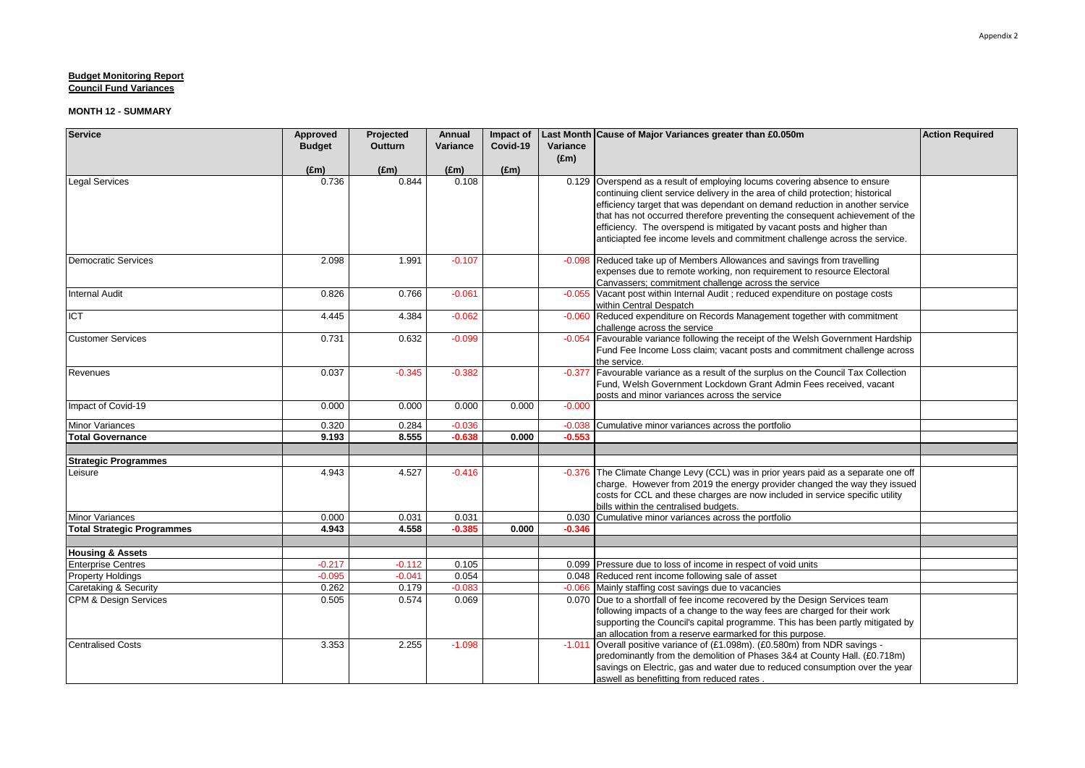| <b>Service</b>                    | Approved      | Projected     | Annual        | Impact of     |                           | Last Month Cause of Major Variances greater than £0.050m                                                   | <b>Action Required</b> |
|-----------------------------------|---------------|---------------|---------------|---------------|---------------------------|------------------------------------------------------------------------------------------------------------|------------------------|
|                                   | <b>Budget</b> | Outturn       | Variance      | Covid-19      | Variance<br>$(\text{Em})$ |                                                                                                            |                        |
|                                   | $(\text{Em})$ | $(\text{Em})$ | $(\text{Em})$ | $(\text{Em})$ |                           |                                                                                                            |                        |
| <b>Legal Services</b>             | 0.736         | 0.844         | 0.108         |               |                           | 0.129 Overspend as a result of employing locums covering absence to ensure                                 |                        |
|                                   |               |               |               |               |                           | continuing client service delivery in the area of child protection; historical                             |                        |
|                                   |               |               |               |               |                           | efficiency target that was dependant on demand reduction in another service                                |                        |
|                                   |               |               |               |               |                           | that has not occurred therefore preventing the consequent achievement of the                               |                        |
|                                   |               |               |               |               |                           | efficiency. The overspend is mitigated by vacant posts and higher than                                     |                        |
|                                   |               |               |               |               |                           | anticiapted fee income levels and commitment challenge across the service.                                 |                        |
| <b>Democratic Services</b>        | 2.098         | 1.991         | $-0.107$      |               |                           | -0.098 Reduced take up of Members Allowances and savings from travelling                                   |                        |
|                                   |               |               |               |               |                           | expenses due to remote working, non requirement to resource Electoral                                      |                        |
|                                   |               |               |               |               |                           | Canvassers; commitment challenge across the service                                                        |                        |
| <b>Internal Audit</b>             | 0.826         | 0.766         | $-0.061$      |               |                           | -0.055 Vacant post within Internal Audit ; reduced expenditure on postage costs<br>within Central Despatch |                        |
| ICT                               | 4.445         | 4.384         | $-0.062$      |               |                           | -0.060 Reduced expenditure on Records Management together with commitment                                  |                        |
|                                   |               |               |               |               |                           | challenge across the service                                                                               |                        |
| <b>Customer Services</b>          | 0.731         | 0.632         | $-0.099$      |               | $-0.054$                  | Favourable variance following the receipt of the Welsh Government Hardship                                 |                        |
|                                   |               |               |               |               |                           | Fund Fee Income Loss claim; vacant posts and commitment challenge across                                   |                        |
|                                   |               |               |               |               |                           | the service.                                                                                               |                        |
| Revenues                          | 0.037         | $-0.345$      | $-0.382$      |               | $-0.377$                  | Favourable variance as a result of the surplus on the Council Tax Collection                               |                        |
|                                   |               |               |               |               |                           | Fund, Welsh Government Lockdown Grant Admin Fees received, vacant                                          |                        |
|                                   |               |               |               |               |                           | posts and minor variances across the service                                                               |                        |
| Impact of Covid-19                | 0.000         | 0.000         | 0.000         | 0.000         | $-0.000$                  |                                                                                                            |                        |
| <b>Minor Variances</b>            | 0.320         | 0.284         | $-0.036$      |               | $-0.038$                  | Cumulative minor variances across the portfolio                                                            |                        |
| <b>Total Governance</b>           | 9.193         | 8.555         | $-0.638$      | 0.000         | $-0.553$                  |                                                                                                            |                        |
|                                   |               |               |               |               |                           |                                                                                                            |                        |
| <b>Strategic Programmes</b>       |               |               |               |               |                           |                                                                                                            |                        |
| Leisure                           | 4.943         | 4.527         | $-0.416$      |               | $-0.376$                  | The Climate Change Levy (CCL) was in prior years paid as a separate one off                                |                        |
|                                   |               |               |               |               |                           | charge. However from 2019 the energy provider changed the way they issued                                  |                        |
|                                   |               |               |               |               |                           | costs for CCL and these charges are now included in service specific utility                               |                        |
| <b>Minor Variances</b>            | 0.000         | 0.031         | 0.031         |               |                           | bills within the centralised budgets.<br>0.030 Cumulative minor variances across the portfolio             |                        |
| <b>Total Strategic Programmes</b> | 4.943         | 4.558         | $-0.385$      | 0.000         | $-0.346$                  |                                                                                                            |                        |
|                                   |               |               |               |               |                           |                                                                                                            |                        |
| <b>Housing &amp; Assets</b>       |               |               |               |               |                           |                                                                                                            |                        |
| <b>Enterprise Centres</b>         | $-0.217$      | $-0.112$      | 0.105         |               |                           | 0.099 Pressure due to loss of income in respect of void units                                              |                        |
| <b>Property Holdings</b>          | $-0.095$      | $-0.041$      | 0.054         |               |                           | 0.048 Reduced rent income following sale of asset                                                          |                        |
| Caretaking & Security             | 0.262         | 0.179         | $-0.083$      |               |                           | -0.066 Mainly staffing cost savings due to vacancies                                                       |                        |
| <b>CPM &amp; Design Services</b>  | 0.505         | 0.574         | 0.069         |               |                           | 0.070 Due to a shortfall of fee income recovered by the Design Services team                               |                        |
|                                   |               |               |               |               |                           | following impacts of a change to the way fees are charged for their work                                   |                        |
|                                   |               |               |               |               |                           | supporting the Council's capital programme. This has been partly mitigated by                              |                        |
|                                   |               |               |               |               |                           | an allocation from a reserve earmarked for this purpose.                                                   |                        |
| <b>Centralised Costs</b>          | 3.353         | 2.255         | $-1.098$      |               | $-1.011$                  | Overall positive variance of (£1.098m). (£0.580m) from NDR savings -                                       |                        |
|                                   |               |               |               |               |                           | predominantly from the demolition of Phases 3&4 at County Hall. (£0.718m)                                  |                        |
|                                   |               |               |               |               |                           | savings on Electric, gas and water due to reduced consumption over the year                                |                        |
|                                   |               |               |               |               |                           | aswell as benefitting from reduced rates.                                                                  |                        |